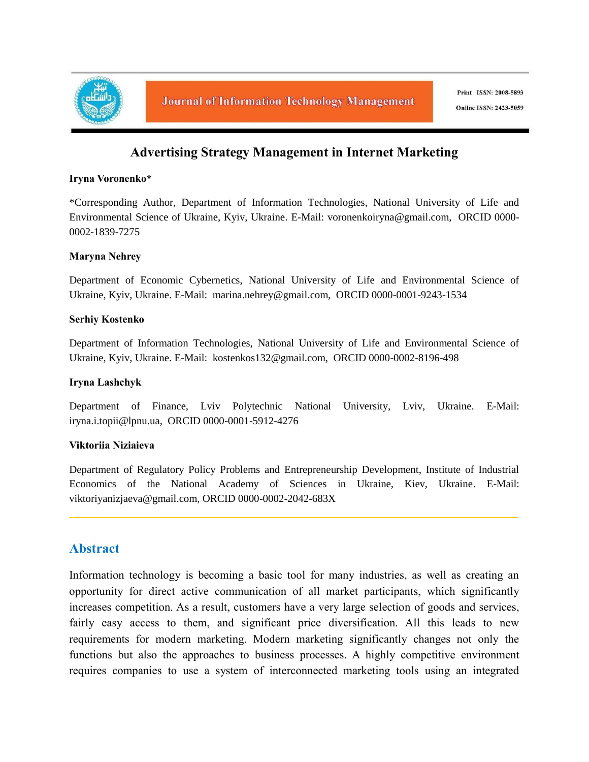

# **Advertising Strategy Management in Internet Marketing**

#### **Iryna Voronenko\***

\*Corresponding Author, Department of Information Technologies, National University of Life and Environmental Science of Ukraine, Kyiv, Ukraine. E-Mail: voronenkoiryna@gmail.com, ORCID 0000- 0002-1839-7275

#### **Maryna Nehrey**

Department of Economic Cybernetics, National University of Life and Environmental Science of Ukraine, Kyiv, Ukraine. E-Mail: marina.nehrey@gmail.com, ORCID 0000-0001-9243-1534

#### **Serhiy Kostenko**

Department of Information Technologies, National University of Life and Environmental Science of Ukraine, Kyiv, Ukraine. E-Mail: kostenkos132@gmail.com, ORCID 0000-0002-8196-498

#### **Iryna Lashchyk**

Department of Finance, Lviv Polytechnic National University, Lviv, Ukraine. E-Mail: iryna.i.topii@lpnu.ua, ORCID 0000-0001-5912-4276

#### **Viktoriia Niziaieva**

Department of Regulatory Policy Problems and Entrepreneurship Development, Institute of Industrial Economics of the National Academy of Sciences in Ukraine, Kiev, Ukraine. E-Mail: viktoriyanizjaeva@gmail.com, ORCID 0000-0002-2042-683X

## **Abstract**

Information technology is becoming a basic tool for many industries, as well as creating an opportunity for direct active communication of all market participants, which significantly increases competition. As a result, customers have a very large selection of goods and services, fairly easy access to them, and significant price diversification. All this leads to new requirements for modern marketing. Modern marketing significantly changes not only the functions but also the approaches to business processes. A highly competitive environment requires companies to use a system of interconnected marketing tools using an integrated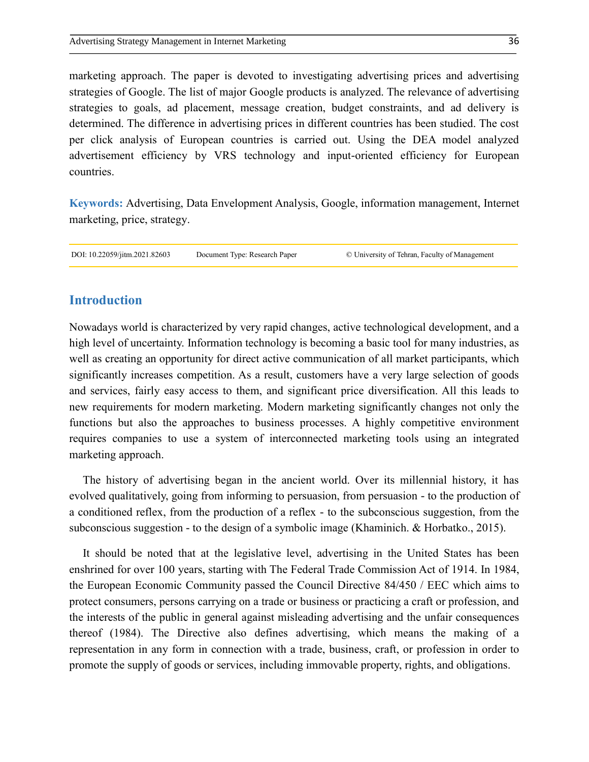marketing approach. The paper is devoted to investigating advertising prices and advertising strategies of Google. The list of major Google products is analyzed. The relevance of advertising strategies to goals, ad placement, message creation, budget constraints, and ad delivery is determined. The difference in advertising prices in different countries has been studied. The cost per click analysis of European countries is carried out. Using the DEA model analyzed advertisement efficiency by VRS technology and input-oriented efficiency for European countries.

**Keywords:** Advertising, Data Envelopment Analysis, Google, information management, Internet marketing, price, strategy.

DOI: 10.22059/jitm.2021.82603 Document Type: Research Paper © University of Tehran, Faculty of Management

### **Introduction**

Nowadays world is characterized by very rapid changes, active technological development, and a high level of uncertainty. Information technology is becoming a basic tool for many industries, as well as creating an opportunity for direct active communication of all market participants, which significantly increases competition. As a result, customers have a very large selection of goods and services, fairly easy access to them, and significant price diversification. All this leads to new requirements for modern marketing. Modern marketing significantly changes not only the functions but also the approaches to business processes. A highly competitive environment requires companies to use a system of interconnected marketing tools using an integrated marketing approach.

The history of advertising began in the ancient world. Over its millennial history, it has evolved qualitatively, going from informing to persuasion, from persuasion - to the production of a conditioned reflex, from the production of a reflex - to the subconscious suggestion, from the subconscious suggestion - to the design of a symbolic image (Khaminich. & Horbatko., 2015).

It should be noted that at the legislative level, advertising in the United States has been enshrined for over 100 years, starting with The Federal Trade Commission Act of 1914. In 1984, the European Economic Community passed the Council Directive 84/450 / EEC which aims to protect consumers, persons carrying on a trade or business or practicing a craft or profession, and the interests of the public in general against misleading advertising and the unfair consequences thereof (1984). The Directive also defines advertising, which means the making of a representation in any form in connection with a trade, business, craft, or profession in order to promote the supply of goods or services, including immovable property, rights, and obligations.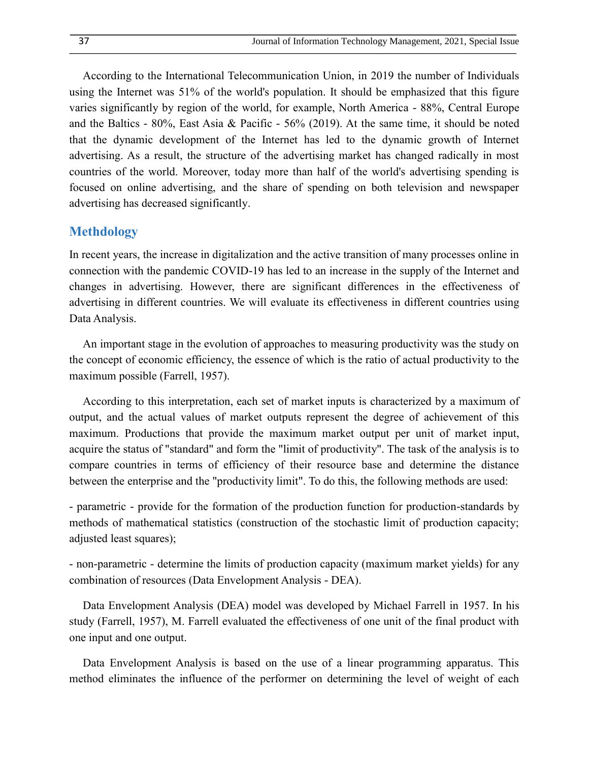According to the International Telecommunication Union, in 2019 the number of Individuals using the Internet was 51% of the world's population. It should be emphasized that this figure varies significantly by region of the world, for example, North America - 88%, Central Europe and the Baltics - 80%, East Asia & Pacific - 56% (2019). At the same time, it should be noted that the dynamic development of the Internet has led to the dynamic growth of Internet advertising. As a result, the structure of the advertising market has changed radically in most countries of the world. Moreover, today more than half of the world's advertising spending is focused on online advertising, and the share of spending on both television and newspaper advertising has decreased significantly.

### **Methdology**

In recent years, the increase in digitalization and the active transition of many processes online in connection with the pandemic COVID-19 has led to an increase in the supply of the Internet and changes in advertising. However, there are significant differences in the effectiveness of advertising in different countries. We will evaluate its effectiveness in different countries using Data Analysis.

An important stage in the evolution of approaches to measuring productivity was the study on the concept of economic efficiency, the essence of which is the ratio of actual productivity to the maximum possible (Farrell, 1957).

According to this interpretation, each set of market inputs is characterized by a maximum of output, and the actual values of market outputs represent the degree of achievement of this maximum. Productions that provide the maximum market output per unit of market input, acquire the status of "standard" and form the "limit of productivity". The task of the analysis is to compare countries in terms of efficiency of their resource base and determine the distance between the enterprise and the "productivity limit". To do this, the following methods are used:

- parametric - provide for the formation of the production function for production-standards by methods of mathematical statistics (construction of the stochastic limit of production capacity; adjusted least squares);

- non-parametric - determine the limits of production capacity (maximum market yields) for any combination of resources (Data Envelopment Analysis - DEA).

Data Envelopment Analysis (DEA) model was developed by Michael Farrell in 1957. In his study (Farrell, 1957), M. Farrell evaluated the effectiveness of one unit of the final product with one input and one output.

Data Envelopment Analysis is based on the use of a linear programming apparatus. This method eliminates the influence of the performer on determining the level of weight of each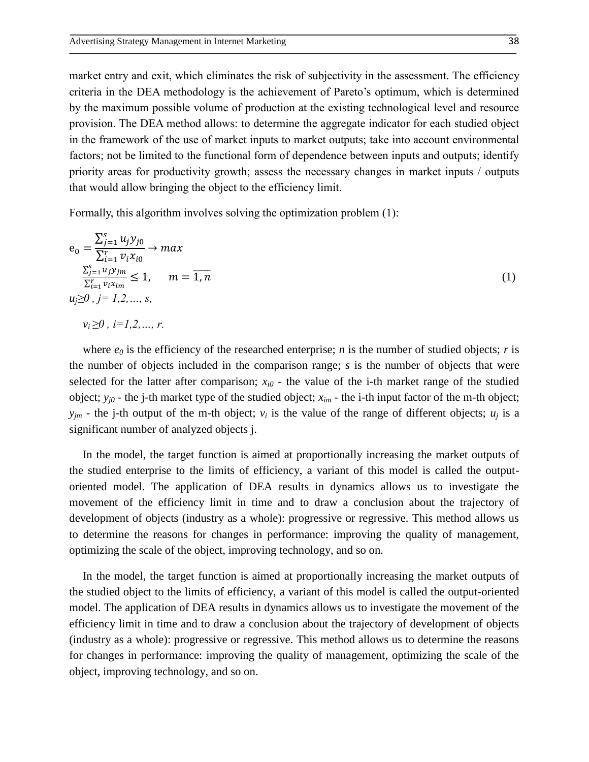market entry and exit, which eliminates the risk of subjectivity in the assessment. The efficiency criteria in the DEA methodology is the achievement of Pareto's optimum, which is determined by the maximum possible volume of production at the existing technological level and resource provision. The DEA method allows: to determine the aggregate indicator for each studied object in the framework of the use of market inputs to market outputs; take into account environmental factors; not be limited to the functional form of dependence between inputs and outputs; identify priority areas for productivity growth; assess the necessary changes in market inputs / outputs that would allow bringing the object to the efficiency limit.

Formally, this algorithm involves solving the optimization problem (1):

$$
e_0 = \frac{\sum_{j=1}^{S} u_j y_{j0}}{\sum_{i=1}^{r} v_i x_{i0}} \to max
$$
  

$$
\frac{\sum_{j=1}^{S} u_j y_{jm}}{\sum_{i=1}^{r} v_i x_{im}} \le 1, \quad m = \overline{1, n}
$$
  

$$
u_j \ge 0, j = 1, 2, ..., s,
$$
  

$$
v_i \ge 0, i = 1, 2, ..., r.
$$
 (1)

where  $e_0$  is the efficiency of the researched enterprise; *n* is the number of studied objects; *r* is the number of objects included in the comparison range; *s* is the number of objects that were selected for the latter after comparison;  $x_{i0}$  - the value of the i-th market range of the studied object; *yj0* - the j-th market type of the studied object; *xim* - the i-th input factor of the m-th object;  $y_{im}$  - the j-th output of the m-th object;  $v_i$  is the value of the range of different objects;  $u_i$  is a significant number of analyzed objects j.

In the model, the target function is aimed at proportionally increasing the market outputs of the studied enterprise to the limits of efficiency, a variant of this model is called the outputoriented model. The application of DEA results in dynamics allows us to investigate the movement of the efficiency limit in time and to draw a conclusion about the trajectory of development of objects (industry as a whole): progressive or regressive. This method allows us to determine the reasons for changes in performance: improving the quality of management, optimizing the scale of the object, improving technology, and so on.

In the model, the target function is aimed at proportionally increasing the market outputs of the studied object to the limits of efficiency, a variant of this model is called the output-oriented model. The application of DEA results in dynamics allows us to investigate the movement of the efficiency limit in time and to draw a conclusion about the trajectory of development of objects (industry as a whole): progressive or regressive. This method allows us to determine the reasons for changes in performance: improving the quality of management, optimizing the scale of the object, improving technology, and so on.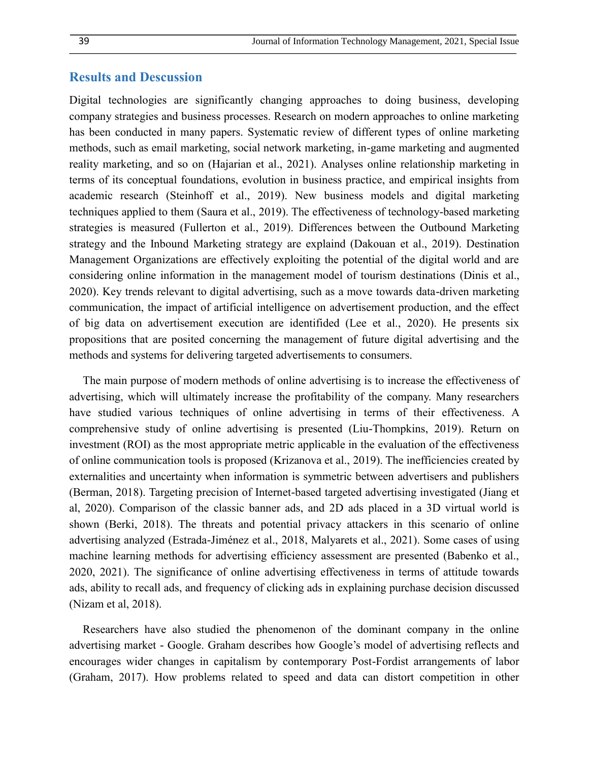#### **Results and Descussion**

Digital technologies are significantly changing approaches to doing business, developing company strategies and business processes. Research on modern approaches to online marketing has been conducted in many papers. Systematic review of different types of online marketing methods, such as email marketing, social network marketing, in-game marketing and augmented reality marketing, and so on (Hajarian et al., 2021). Analyses online relationship marketing in terms of its conceptual foundations, evolution in business practice, and empirical insights from academic research (Steinhoff et al., 2019). New business models and digital marketing techniques applied to them (Saura et al., 2019). The effectiveness of technology-based marketing strategies is measured (Fullerton et al., 2019). Differences between the Outbound Marketing strategy and the Inbound Marketing strategy are explaind (Dakouan et al., 2019). Destination Management Organizations are effectively exploiting the potential of the digital world and are considering online information in the management model of tourism destinations (Dinis et al., 2020). Key trends relevant to digital advertising, such as a move towards data-driven marketing communication, the impact of artificial intelligence on advertisement production, and the effect of big data on advertisement execution are identifided (Lee et al., 2020). He presents six propositions that are posited concerning the management of future digital advertising and the methods and systems for delivering targeted advertisements to consumers.

The main purpose of modern methods of online advertising is to increase the effectiveness of advertising, which will ultimately increase the profitability of the company. Many researchers have studied various techniques of online advertising in terms of their effectiveness. A comprehensive study of online advertising is presented (Liu-Thompkins, 2019). Return on investment (ROI) as the most appropriate metric applicable in the evaluation of the effectiveness of online communication tools is proposed (Krizanova et al., 2019). The inefficiencies created by externalities and uncertainty when information is symmetric between advertisers and publishers (Berman, 2018). Targeting precision of Internet-based targeted advertising investigated (Jiang et al, 2020). Comparison of the classic banner ads, and 2D ads placed in a 3D virtual world is shown (Berki, 2018). The threats and potential privacy attackers in this scenario of online advertising analyzed (Estrada-Jiménez et al., 2018, Malyarets et al., 2021). Some cases of using machine learning methods for advertising efficiency assessment are presented (Babenko et al., 2020, 2021). The significance of online advertising effectiveness in terms of attitude towards ads, ability to recall ads, and frequency of clicking ads in explaining purchase decision discussed (Nizam et al, 2018).

Researchers have also studied the phenomenon of the dominant company in the online advertising market - Google. Graham describes how Google's model of advertising reflects and encourages wider changes in capitalism by contemporary Post-Fordist arrangements of labor (Graham, 2017). How problems related to speed and data can distort competition in other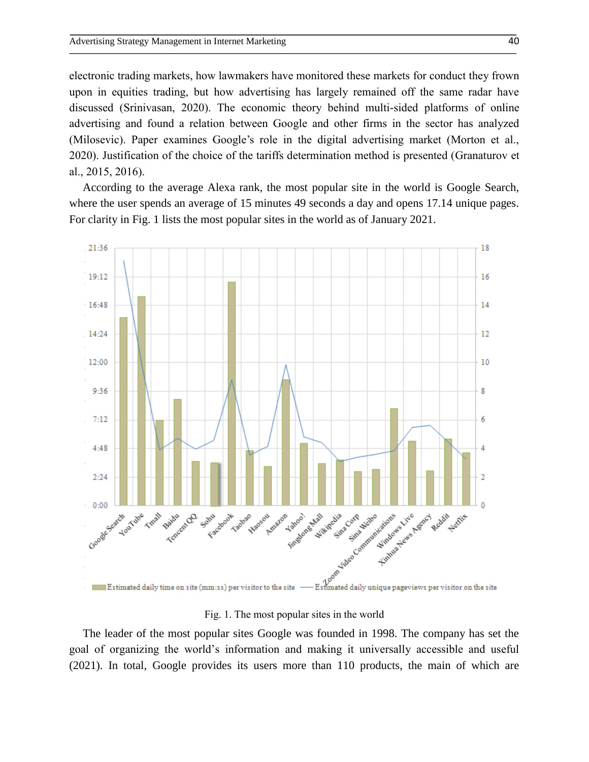electronic trading markets, how lawmakers have monitored these markets for conduct they frown upon in equities trading, but how advertising has largely remained off the same radar have discussed (Srinivasan, 2020). The economic theory behind multi-sided platforms of online advertising and found a relation between Google and other firms in the sector has analyzed (Milosevic). Paper examines Google's role in the digital advertising market (Morton et al., 2020). Justification of the choice of the tariffs determination method is presented (Granaturov et al., 2015, 2016).

According to the average Alexa rank, the most popular site in the world is Google Search, where the user spends an average of 15 minutes 49 seconds a day and opens 17.14 unique pages. For clarity in Fig. 1 lists the most popular sites in the world as of January 2021.



#### Fig. 1. The most popular sites in the world

The leader of the most popular sites Google was founded in 1998. The company has set the goal of organizing the world's information and making it universally accessible and useful (2021). In total, Google provides its users more than 110 products, the main of which are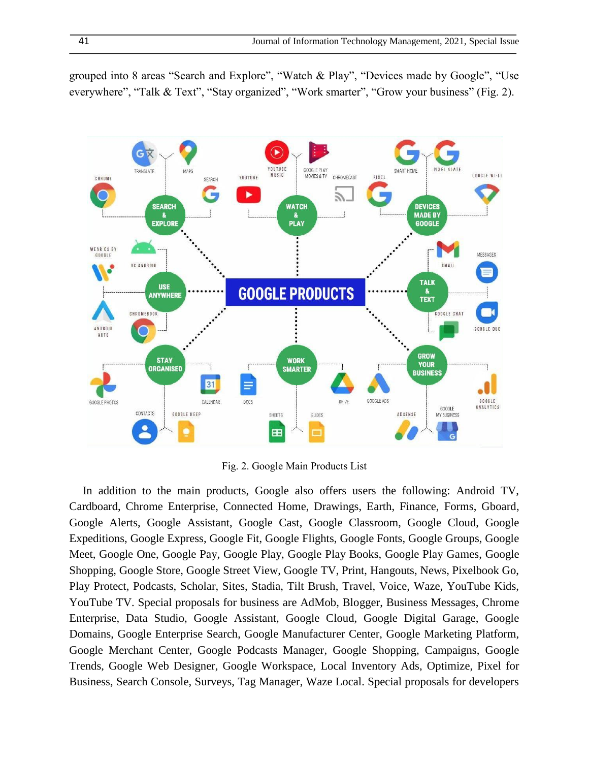grouped into 8 areas "Search and Explore", "Watch & Play", "Devices made by Google", "Use everywhere", "Talk & Text", "Stay organized", "Work smarter", "Grow your business" (Fig. 2).



Fig. 2. Google Main Products List

In addition to the main products, Google also offers users the following: Android TV, Cardboard, Chrome Enterprise, Connected Home, Drawings, Earth, Finance, Forms, Gboard, Google Alerts, Google Assistant, Google Cast, Google Classroom, Google Cloud, Google Expeditions, Google Express, Google Fit, Google Flights, Google Fonts, Google Groups, Google Meet, Google One, Google Pay, Google Play, Google Play Books, Google Play Games, Google Shopping, Google Store, Google Street View, Google TV, Print, Hangouts, News, Pixelbook Go, Play Protect, Podcasts, Scholar, Sites, Stadia, Tilt Brush, Travel, Voice, Waze, YouTube Kids, YouTube TV. Special proposals for business are AdMob, Blogger, Business Messages, Chrome Enterprise, Data Studio, Google Assistant, Google Cloud, Google Digital Garage, Google Domains, Google Enterprise Search, Google Manufacturer Center, Google Marketing Platform, Google Merchant Center, Google Podcasts Manager, Google Shopping, Campaigns, Google Trends, Google Web Designer, Google Workspace, Local Inventory Ads, Optimize, Pixel for Business, Search Console, Surveys, Tag Manager, Waze Local. Special proposals for developers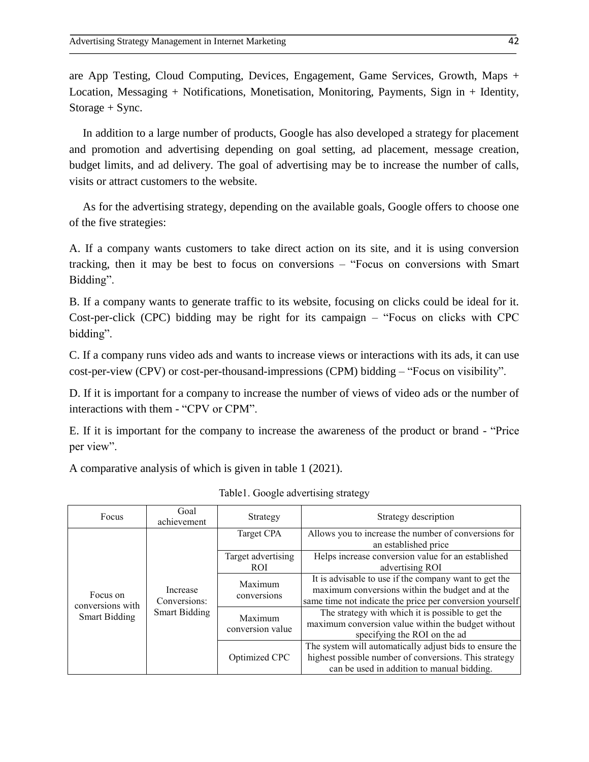are App Testing, Cloud Computing, Devices, Engagement, Game Services, Growth, Maps + Location, Messaging + Notifications, Monetisation, Monitoring, Payments, Sign in + Identity, Storage + Sync.

In addition to a large number of products, Google has also developed a strategy for placement and promotion and advertising depending on goal setting, ad placement, message creation, budget limits, and ad delivery. The goal of advertising may be to increase the number of calls, visits or attract customers to the website.

As for the advertising strategy, depending on the available goals, Google offers to choose one of the five strategies:

A. If a company wants customers to take direct action on its site, and it is using conversion tracking, then it may be best to focus on conversions – "Focus on conversions with Smart Bidding".

B. If a company wants to generate traffic to its website, focusing on clicks could be ideal for it. Cost-per-click (CPC) bidding may be right for its campaign – "Focus on clicks with CPC bidding".

C. If a company runs video ads and wants to increase views or interactions with its ads, it can use cost-per-view (CPV) or cost-per-thousand-impressions (CPM) bidding – "Focus on visibility".

D. If it is important for a company to increase the number of views of video ads or the number of interactions with them - "CPV or CPM".

E. If it is important for the company to increase the awareness of the product or brand - "Price per view".

A comparative analysis of which is given in table 1 (2021).

| Focus                                                | Goal<br>achievement                              | Strategy                         | Strategy description                                                                                                                                                  |
|------------------------------------------------------|--------------------------------------------------|----------------------------------|-----------------------------------------------------------------------------------------------------------------------------------------------------------------------|
| Focus on<br>conversions with<br><b>Smart Bidding</b> | Increase<br>Conversions:<br><b>Smart Bidding</b> | Target CPA                       | Allows you to increase the number of conversions for<br>an established price                                                                                          |
|                                                      |                                                  | Target advertising<br><b>ROI</b> | Helps increase conversion value for an established<br>advertising ROI                                                                                                 |
|                                                      |                                                  | Maximum<br>conversions           | It is advisable to use if the company want to get the<br>maximum conversions within the budget and at the<br>same time not indicate the price per conversion yourself |
|                                                      |                                                  | Maximum<br>conversion value      | The strategy with which it is possible to get the<br>maximum conversion value within the budget without<br>specifying the ROI on the ad                               |
|                                                      |                                                  | Optimized CPC                    | The system will automatically adjust bids to ensure the<br>highest possible number of conversions. This strategy<br>can be used in addition to manual bidding.        |

| Table1. Google advertising strategy |  |  |  |  |
|-------------------------------------|--|--|--|--|
|-------------------------------------|--|--|--|--|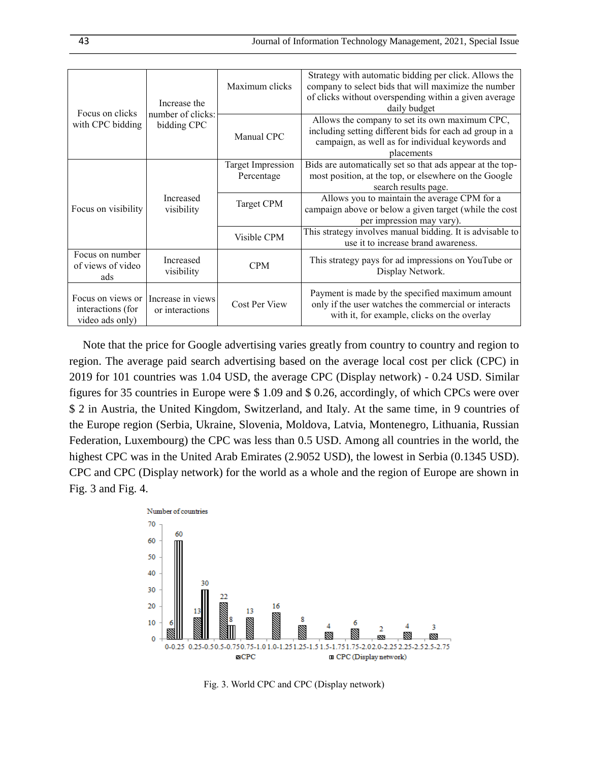| Focus on clicks<br>with CPC bidding                       | Increase the<br>number of clicks:<br>bidding CPC | Maximum clicks                  | Strategy with automatic bidding per click. Allows the<br>company to select bids that will maximize the number<br>of clicks without overspending within a given average<br>daily budget |
|-----------------------------------------------------------|--------------------------------------------------|---------------------------------|----------------------------------------------------------------------------------------------------------------------------------------------------------------------------------------|
|                                                           |                                                  | Manual CPC                      | Allows the company to set its own maximum CPC,<br>including setting different bids for each ad group in a<br>campaign, as well as for individual keywords and<br>placements            |
| Focus on visibility                                       | Increased<br>visibility                          | Target Impression<br>Percentage | Bids are automatically set so that ads appear at the top-<br>most position, at the top, or elsewhere on the Google<br>search results page.                                             |
|                                                           |                                                  | <b>Target CPM</b>               | Allows you to maintain the average CPM for a<br>campaign above or below a given target (while the cost<br>per impression may vary).                                                    |
|                                                           |                                                  | Visible CPM                     | This strategy involves manual bidding. It is advisable to<br>use it to increase brand awareness.                                                                                       |
| Focus on number<br>of views of video<br>ads               | Increased<br>visibility                          | <b>CPM</b>                      | This strategy pays for ad impressions on YouTube or<br>Display Network.                                                                                                                |
| Focus on views or<br>interactions (for<br>video ads only) | Increase in views<br>or interactions             | Cost Per View                   | Payment is made by the specified maximum amount<br>only if the user watches the commercial or interacts<br>with it, for example, clicks on the overlay                                 |

Note that the price for Google advertising varies greatly from country to country and region to region. The average paid search advertising based on the average local cost per click (CPC) in 2019 for 101 countries was 1.04 USD, the average CPC (Display network) - 0.24 USD. Similar figures for 35 countries in Europe were \$ 1.09 and \$ 0.26, accordingly, of which CPCs were over \$ 2 in Austria, the United Kingdom, Switzerland, and Italy. At the same time, in 9 countries of the Europe region (Serbia, Ukraine, Slovenia, Moldova, Latvia, Montenegro, Lithuania, Russian Federation, Luxembourg) the CPC was less than 0.5 USD. Among all countries in the world, the highest CPC was in the United Arab Emirates (2.9052 USD), the lowest in Serbia (0.1345 USD). CPC and CPC (Display network) for the world as a whole and the region of Europe are shown in Fig. 3 and Fig. 4.



Fig. 3. World CPC and CPC (Display network)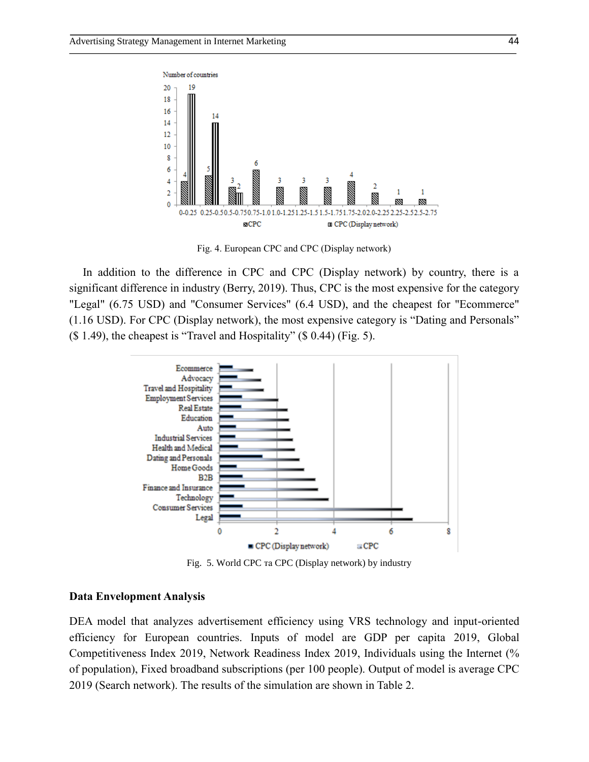

Fig. 4. European CPC and CPC (Display network)

In addition to the difference in CPC and CPC (Display network) by country, there is a significant difference in industry (Berry, 2019). Thus, CPC is the most expensive for the category "Legal" (6.75 USD) and "Consumer Services" (6.4 USD), and the cheapest for "Ecommerce" (1.16 USD). For CPC (Display network), the most expensive category is "Dating and Personals"  $($  \$ 1.49), the cheapest is "Travel and Hospitality"  $($  \$ 0.44) (Fig. 5).



Fig. 5. World CPC та CPC (Display network) by industry

#### **Data Envelopment Analysis**

DEA model that analyzes advertisement efficiency using VRS technology and input-oriented efficiency for European countries. Inputs of model are GDP per capita 2019, Global Competitiveness Index 2019, Network Readiness Index 2019, Individuals using the Internet (% of population), Fixed broadband subscriptions (per 100 people). Output of model is average CPC 2019 (Search network). The results of the simulation are shown in Table 2.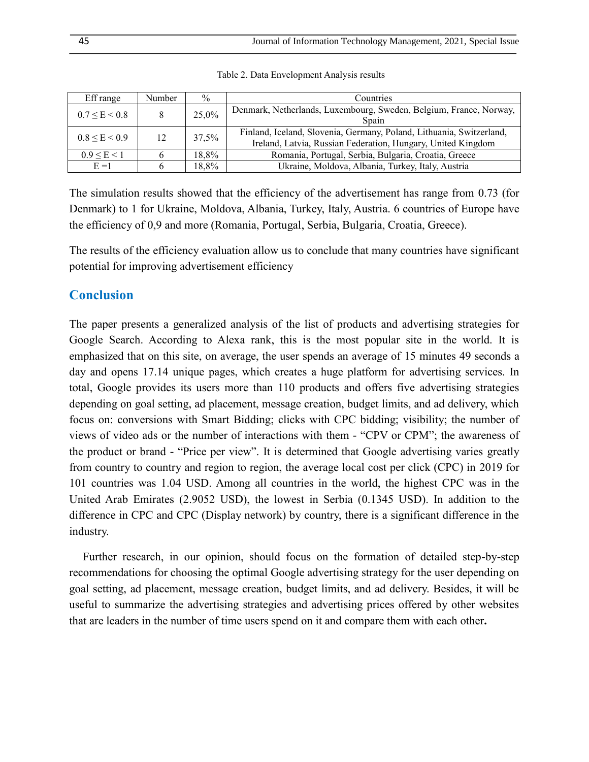| Eff range           | Number | $\frac{0}{0}$ | Countries                                                                                                                            |
|---------------------|--------|---------------|--------------------------------------------------------------------------------------------------------------------------------------|
| $0.7 \le E \le 0.8$ |        | 25,0%         | Denmark, Netherlands, Luxembourg, Sweden, Belgium, France, Norway,<br>Spain                                                          |
| $0.8 \le E < 0.9$   | 12     | 37,5%         | Finland, Iceland, Slovenia, Germany, Poland, Lithuania, Switzerland,<br>Ireland, Latvia, Russian Federation, Hungary, United Kingdom |
| $0.9 \le E \le 1$   |        | 18.8%         | Romania, Portugal, Serbia, Bulgaria, Croatia, Greece                                                                                 |
| $E = 1$             |        | 18.8%         | Ukraine, Moldova, Albania, Turkey, Italy, Austria                                                                                    |

Table 2. Data Envelopment Analysis results

The simulation results showed that the efficiency of the advertisement has range from 0.73 (for Denmark) to 1 for Ukraine, Moldova, Albania, Turkey, Italy, Austria. 6 countries of Europe have the efficiency of 0,9 and more (Romania, Portugal, Serbia, Bulgaria, Croatia, Greece).

The results of the efficiency evaluation allow us to conclude that many countries have significant potential for improving advertisement efficiency

# **Conclusion**

The paper presents a generalized analysis of the list of products and advertising strategies for Google Search. According to Alexa rank, this is the most popular site in the world. It is emphasized that on this site, on average, the user spends an average of 15 minutes 49 seconds a day and opens 17.14 unique pages, which creates a huge platform for advertising services. In total, Google provides its users more than 110 products and offers five advertising strategies depending on goal setting, ad placement, message creation, budget limits, and ad delivery, which focus on: conversions with Smart Bidding; clicks with CPC bidding; visibility; the number of views of video ads or the number of interactions with them - "CPV or CPM"; the awareness of the product or brand - "Price per view". It is determined that Google advertising varies greatly from country to country and region to region, the average local cost per click (CPC) in 2019 for 101 countries was 1.04 USD. Among all countries in the world, the highest CPC was in the United Arab Emirates (2.9052 USD), the lowest in Serbia (0.1345 USD). In addition to the difference in CPC and CPC (Display network) by country, there is a significant difference in the industry.

Further research, in our opinion, should focus on the formation of detailed step-by-step recommendations for choosing the optimal Google advertising strategy for the user depending on goal setting, ad placement, message creation, budget limits, and ad delivery. Besides, it will be useful to summarize the advertising strategies and advertising prices offered by other websites that are leaders in the number of time users spend on it and compare them with each other**.**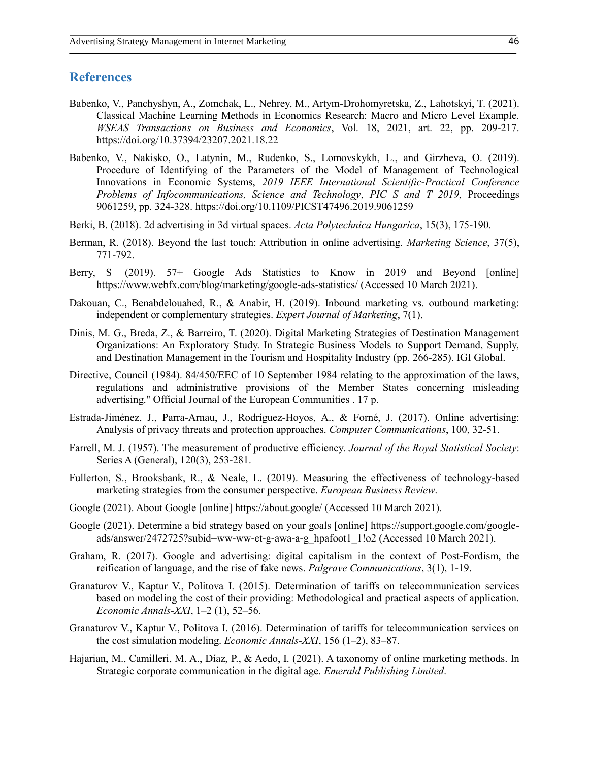### **References**

- Babenko, V., Panchyshyn, A., Zomchak, L., Nehrey, M., Artym-Drohomyretska, Z., Lahotskyi, T. (2021). Classical Machine Learning Methods in Economics Research: Macro and Micro Level Example. *WSEAS Transactions on Business and Economics*, Vol. 18, 2021, art. 22, pp. 209-217. https://doi.org/10.37394/23207.2021.18.22
- Babenko, V., Nakisko, O., Latynin, M., Rudenko, S., Lomovskykh, L., and Girzheva, O. (2019). Procedure of Identifying of the Parameters of the Model of Management of Technological Innovations in Economic Systems, *2019 IEEE International Scientific-Practical Conference Problems of Infocommunications, Science and Technology*, *PIC S and T 2019*, Proceedings 9061259, pp. 324-328. https://doi.org/10.1109/PICST47496.2019.9061259
- Berki, B. (2018). 2d advertising in 3d virtual spaces. *Acta Polytechnica Hungarica*, 15(3), 175-190.
- Berman, R. (2018). Beyond the last touch: Attribution in online advertising. *Marketing Science*, 37(5), 771-792.
- Berry, S (2019). 57+ Google Ads Statistics to Know in 2019 and Beyond [online] https://www.webfx.com/blog/marketing/google-ads-statistics/ (Accessed 10 March 2021).
- Dakouan, C., Benabdelouahed, R., & Anabir, H. (2019). Inbound marketing vs. outbound marketing: independent or complementary strategies. *Expert Journal of Marketing*, 7(1).
- Dinis, M. G., Breda, Z., & Barreiro, T. (2020). Digital Marketing Strategies of Destination Management Organizations: An Exploratory Study. In Strategic Business Models to Support Demand, Supply, and Destination Management in the Tourism and Hospitality Industry (pp. 266-285). IGI Global.
- Directive, Council (1984). 84/450/EEC of 10 September 1984 relating to the approximation of the laws, regulations and administrative provisions of the Member States concerning misleading advertising." Official Journal of the European Communities . 17 p.
- Estrada-Jiménez, J., Parra-Arnau, J., Rodríguez-Hoyos, A., & Forné, J. (2017). Online advertising: Analysis of privacy threats and protection approaches. *Computer Communications*, 100, 32-51.
- Farrell, M. J. (1957). The measurement of productive efficiency. *Journal of the Royal Statistical Society*: Series A (General), 120(3), 253-281.
- Fullerton, S., Brooksbank, R., & Neale, L. (2019). Measuring the effectiveness of technology-based marketing strategies from the consumer perspective. *European Business Review*.
- Google (2021). About Google [online] https://about.google/ (Accessed 10 March 2021).
- Google (2021). Determine a bid strategy based on your goals [online] https://support.google.com/googleads/answer/2472725?subid=ww-ww-et-g-awa-a-g\_hpafoot1\_1!o2 (Accessed 10 March 2021).
- Graham, R. (2017). Google and advertising: digital capitalism in the context of Post-Fordism, the reification of language, and the rise of fake news. *Palgrave Communications*, 3(1), 1-19.
- Granaturov V., Kaptur V., Politova I. (2015). Determination of tariffs on telecommunication services based on modeling the cost of their providing: Methodological and practical aspects of application. *Economic Annals-XXI*, 1–2 (1), 52–56.
- Granaturov V., Kaptur V., Politova І. (2016). Determination of tariffs for telecommunication services on the cost simulation modeling. *Economic Annals-XXI*, 156 (1–2), 83–87.
- Hajarian, M., Camilleri, M. A., Díaz, P., & Aedo, I. (2021). A taxonomy of online marketing methods. In Strategic corporate communication in the digital age. *Emerald Publishing Limited*.